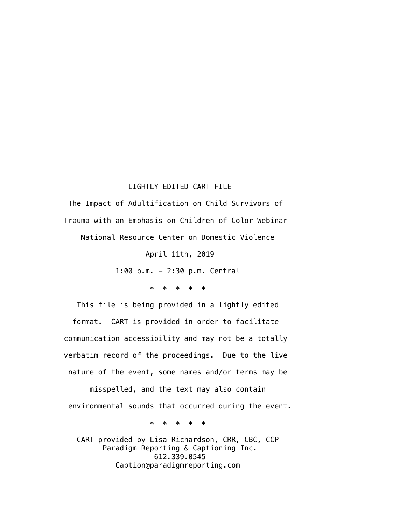## LIGHTLY EDITED CART FILE

 The Impact of Adultification on Child Survivors of Trauma with an Emphasis on Children of Color Webinar National Resource Center on Domestic Violence

April 11th, 2019

1:00 p.m. - 2:30 p.m. Central

\* \* \* \* \*

 This file is being provided in a lightly edited format. CART is provided in order to facilitate communication accessibility and may not be a totally verbatim record of the proceedings. Due to the live nature of the event, some names and/or terms may be misspelled, and the text may also contain environmental sounds that occurred during the event.

\* \* \* \* \*

 CART provided by Lisa Richardson, CRR, CBC, CCP Paradigm Reporting & Captioning Inc. 612.339.0545 Caption@paradigmreporting.com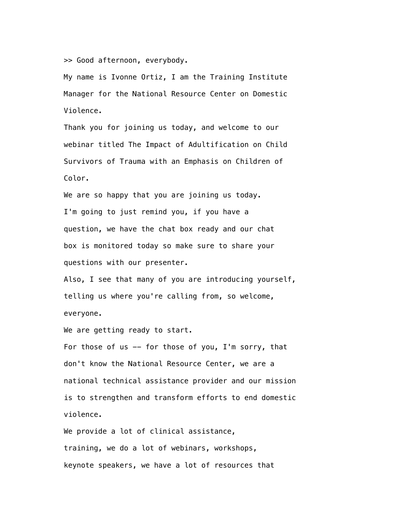>> Good afternoon, everybody.

 My name is Ivonne Ortiz, I am the Training Institute Manager for the National Resource Center on Domestic Violence.

 Thank you for joining us today, and welcome to our webinar titled The Impact of Adultification on Child Survivors of Trauma with an Emphasis on Children of Color.

 We are so happy that you are joining us today. I'm going to just remind you, if you have a question, we have the chat box ready and our chat box is monitored today so make sure to share your questions with our presenter.

 Also, I see that many of you are introducing yourself, telling us where you're calling from, so welcome, everyone.

We are getting ready to start.

For those of us  $-$  for those of you, I'm sorry, that don't know the National Resource Center, we are a national technical assistance provider and our mission is to strengthen and transform efforts to end domestic violence.

We provide a lot of clinical assistance, training, we do a lot of webinars, workshops, keynote speakers, we have a lot of resources that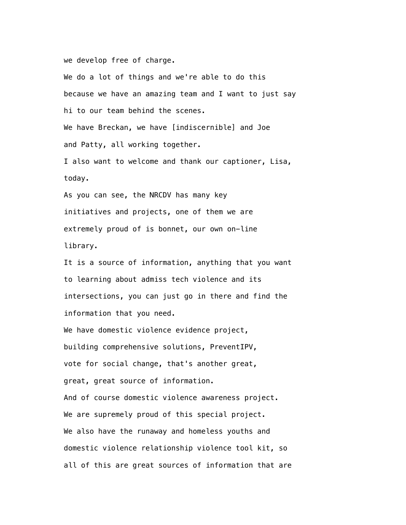we develop free of charge.

 We do a lot of things and we're able to do this because we have an amazing team and I want to just say hi to our team behind the scenes. We have Breckan, we have [indiscernible] and Joe and Patty, all working together. I also want to welcome and thank our captioner, Lisa, today. As you can see, the NRCDV has many key initiatives and projects, one of them we are extremely proud of is bonnet, our own on-line library.

 It is a source of information, anything that you want to learning about admiss tech violence and its intersections, you can just go in there and find the information that you need.

We have domestic violence evidence project, building comprehensive solutions, PreventIPV, vote for social change, that's another great, great, great source of information. And of course domestic violence awareness project. We are supremely proud of this special project. We also have the runaway and homeless youths and domestic violence relationship violence tool kit, so all of this are great sources of information that are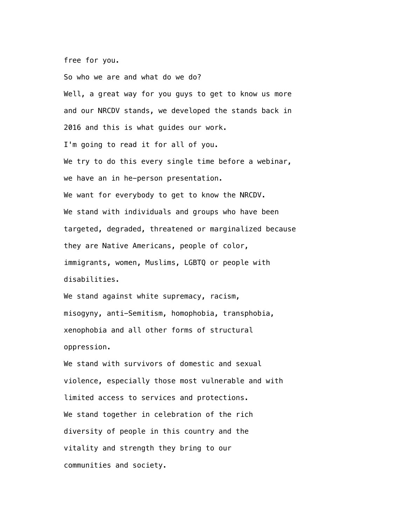free for you.

 So who we are and what do we do? Well, a great way for you guys to get to know us more and our NRCDV stands, we developed the stands back in 2016 and this is what guides our work. I'm going to read it for all of you. We try to do this every single time before a webinar, we have an in he-person presentation. We want for everybody to get to know the NRCDV. We stand with individuals and groups who have been targeted, degraded, threatened or marginalized because they are Native Americans, people of color, immigrants, women, Muslims, LGBTQ or people with disabilities.

We stand against white supremacy, racism, misogyny, anti-Semitism, homophobia, transphobia, xenophobia and all other forms of structural oppression.

 We stand with survivors of domestic and sexual violence, especially those most vulnerable and with limited access to services and protections. We stand together in celebration of the rich diversity of people in this country and the vitality and strength they bring to our communities and society.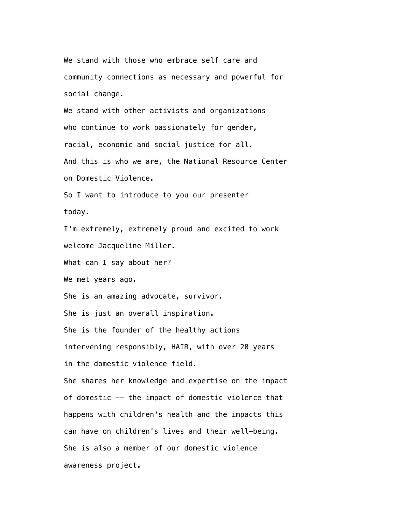We stand with those who embrace self care and community connections as necessary and powerful for social change.

 We stand with other activists and organizations who continue to work passionately for gender, racial, economic and social justice for all. And this is who we are, the National Resource Center on Domestic Violence.

 So I want to introduce to you our presenter today.

 I'm extremely, extremely proud and excited to work welcome Jacqueline Miller.

What can I say about her?

We met years ago.

She is an amazing advocate, survivor.

She is just an overall inspiration.

She is the founder of the healthy actions

intervening responsibly, HAIR, with over 20 years

in the domestic violence field.

 She shares her knowledge and expertise on the impact of domestic -- the impact of domestic violence that happens with children's health and the impacts this can have on children's lives and their well-being. She is also a member of our domestic violence awareness project.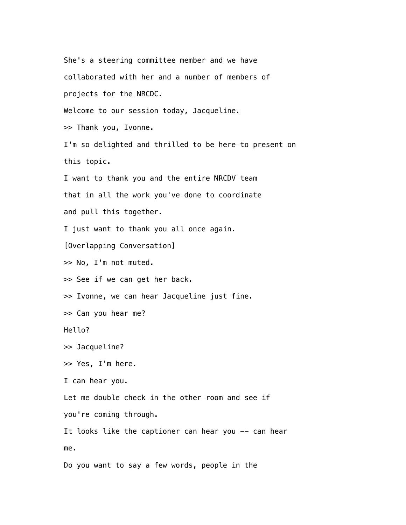She's a steering committee member and we have collaborated with her and a number of members of projects for the NRCDC. Welcome to our session today, Jacqueline. >> Thank you, Ivonne. I'm so delighted and thrilled to be here to present on this topic. I want to thank you and the entire NRCDV team that in all the work you've done to coordinate and pull this together. I just want to thank you all once again. [Overlapping Conversation] >> No, I'm not muted. >> See if we can get her back. >> Ivonne, we can hear Jacqueline just fine. >> Can you hear me? Hello? >> Jacqueline? >> Yes, I'm here. I can hear you. Let me double check in the other room and see if you're coming through. It looks like the captioner can hear you -- can hear me. Do you want to say a few words, people in the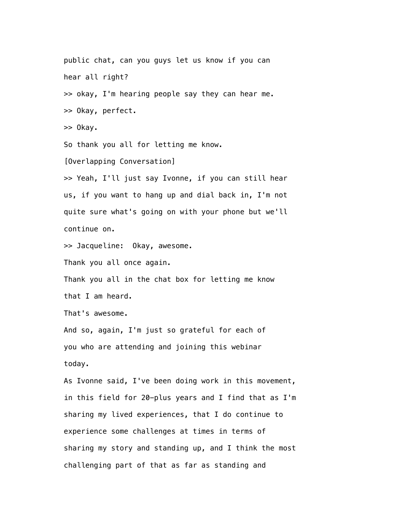public chat, can you guys let us know if you can hear all right? >> okay, I'm hearing people say they can hear me. >> Okay, perfect. >> Okay. So thank you all for letting me know. [Overlapping Conversation] >> Yeah, I'll just say Ivonne, if you can still hear us, if you want to hang up and dial back in, I'm not quite sure what's going on with your phone but we'll continue on. >> Jacqueline: Okay, awesome. Thank you all once again. Thank you all in the chat box for letting me know that I am heard. That's awesome. And so, again, I'm just so grateful for each of you who are attending and joining this webinar today. As Ivonne said, I've been doing work in this movement, in this field for 20-plus years and I find that as I'm sharing my lived experiences, that I do continue to experience some challenges at times in terms of sharing my story and standing up, and I think the most challenging part of that as far as standing and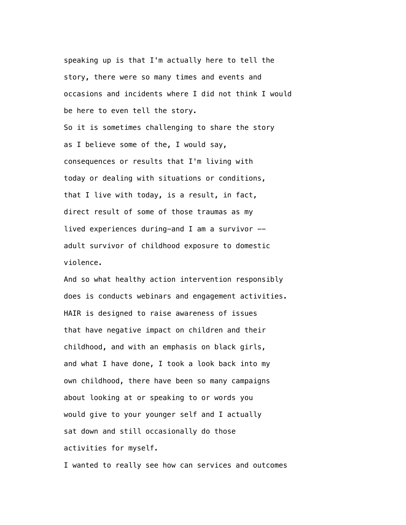speaking up is that I'm actually here to tell the story, there were so many times and events and occasions and incidents where I did not think I would be here to even tell the story.

 So it is sometimes challenging to share the story as I believe some of the, I would say, consequences or results that I'm living with today or dealing with situations or conditions, that I live with today, is a result, in fact, direct result of some of those traumas as my lived experiences during-and I am a survivor  $$  adult survivor of childhood exposure to domestic violence.

 And so what healthy action intervention responsibly does is conducts webinars and engagement activities. HAIR is designed to raise awareness of issues that have negative impact on children and their childhood, and with an emphasis on black girls, and what I have done, I took a look back into my own childhood, there have been so many campaigns about looking at or speaking to or words you would give to your younger self and I actually sat down and still occasionally do those activities for myself.

I wanted to really see how can services and outcomes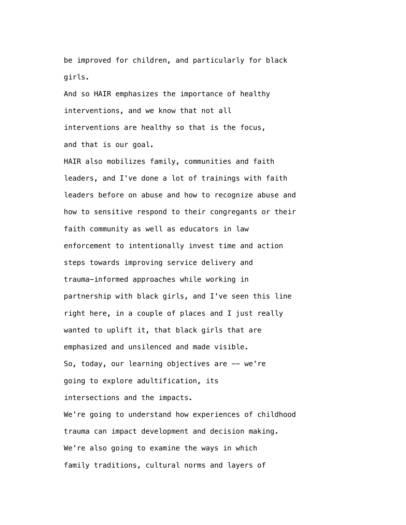be improved for children, and particularly for black girls.

 And so HAIR emphasizes the importance of healthy interventions, and we know that not all interventions are healthy so that is the focus, and that is our goal.

 HAIR also mobilizes family, communities and faith leaders, and I've done a lot of trainings with faith leaders before on abuse and how to recognize abuse and how to sensitive respond to their congregants or their faith community as well as educators in law enforcement to intentionally invest time and action steps towards improving service delivery and trauma-informed approaches while working in partnership with black girls, and I've seen this line right here, in a couple of places and I just really wanted to uplift it, that black girls that are emphasized and unsilenced and made visible. So, today, our learning objectives are  $-$  we're going to explore adultification, its intersections and the impacts. We're going to understand how experiences of childhood trauma can impact development and decision making. We're also going to examine the ways in which family traditions, cultural norms and layers of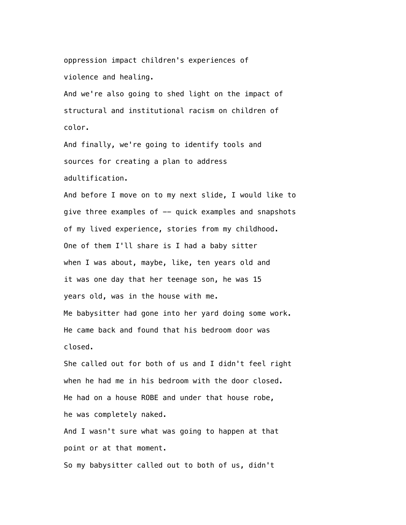oppression impact children's experiences of violence and healing.

 And we're also going to shed light on the impact of structural and institutional racism on children of color.

 And finally, we're going to identify tools and sources for creating a plan to address adultification.

 And before I move on to my next slide, I would like to give three examples of -- quick examples and snapshots of my lived experience, stories from my childhood. One of them I'll share is I had a baby sitter when I was about, maybe, like, ten years old and it was one day that her teenage son, he was 15 years old, was in the house with me. Me babysitter had gone into her yard doing some work. He came back and found that his bedroom door was closed.

 She called out for both of us and I didn't feel right when he had me in his bedroom with the door closed. He had on a house ROBE and under that house robe, he was completely naked.

 And I wasn't sure what was going to happen at that point or at that moment.

So my babysitter called out to both of us, didn't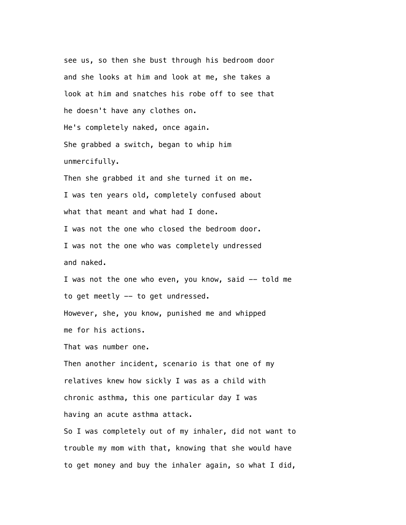see us, so then she bust through his bedroom door and she looks at him and look at me, she takes a look at him and snatches his robe off to see that he doesn't have any clothes on. He's completely naked, once again. She grabbed a switch, began to whip him unmercifully. Then she grabbed it and she turned it on me. I was ten years old, completely confused about what that meant and what had I done. I was not the one who closed the bedroom door. I was not the one who was completely undressed and naked. I was not the one who even, you know, said  $-$  told me to get meetly -- to get undressed. However, she, you know, punished me and whipped me for his actions.

That was number one.

 Then another incident, scenario is that one of my relatives knew how sickly I was as a child with chronic asthma, this one particular day I was having an acute asthma attack.

 So I was completely out of my inhaler, did not want to trouble my mom with that, knowing that she would have to get money and buy the inhaler again, so what I did,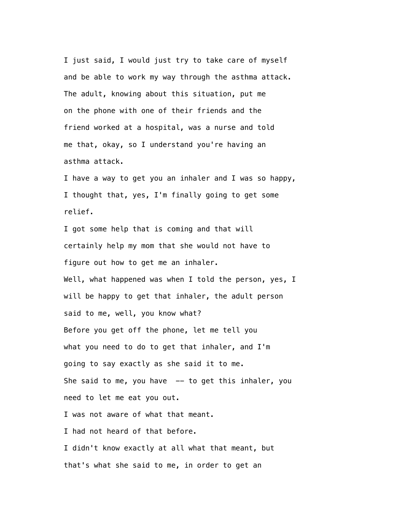I just said, I would just try to take care of myself and be able to work my way through the asthma attack. The adult, knowing about this situation, put me on the phone with one of their friends and the friend worked at a hospital, was a nurse and told me that, okay, so I understand you're having an asthma attack.

 I have a way to get you an inhaler and I was so happy, I thought that, yes, I'm finally going to get some relief.

 I got some help that is coming and that will certainly help my mom that she would not have to figure out how to get me an inhaler. Well, what happened was when I told the person, yes, I will be happy to get that inhaler, the adult person said to me, well, you know what? Before you get off the phone, let me tell you what you need to do to get that inhaler, and I'm going to say exactly as she said it to me. She said to me, you have  $-$  to get this inhaler, you need to let me eat you out. I was not aware of what that meant. I had not heard of that before. I didn't know exactly at all what that meant, but that's what she said to me, in order to get an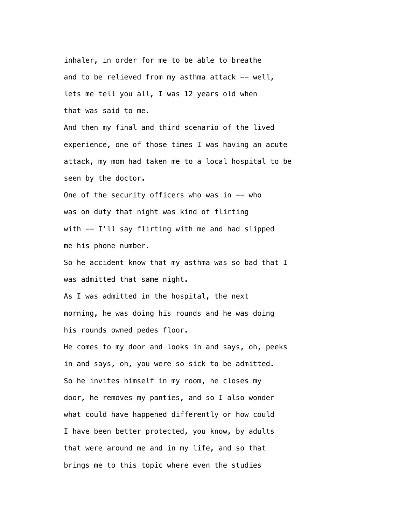inhaler, in order for me to be able to breathe and to be relieved from my asthma attack -- well, lets me tell you all, I was 12 years old when that was said to me.

 And then my final and third scenario of the lived experience, one of those times I was having an acute attack, my mom had taken me to a local hospital to be seen by the doctor.

One of the security officers who was in  $-$  who was on duty that night was kind of flirting with  $-$  I'll say flirting with me and had slipped me his phone number.

 So he accident know that my asthma was so bad that I was admitted that same night.

 As I was admitted in the hospital, the next morning, he was doing his rounds and he was doing his rounds owned pedes floor.

 He comes to my door and looks in and says, oh, peeks in and says, oh, you were so sick to be admitted. So he invites himself in my room, he closes my door, he removes my panties, and so I also wonder what could have happened differently or how could I have been better protected, you know, by adults that were around me and in my life, and so that brings me to this topic where even the studies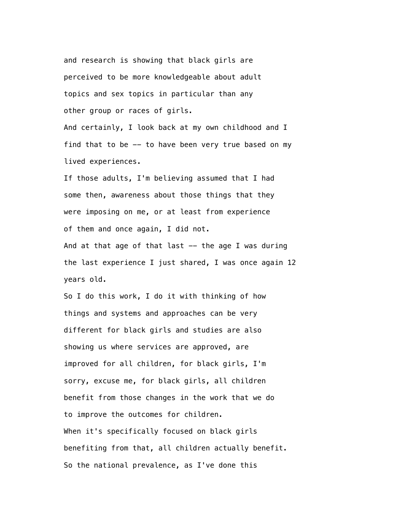and research is showing that black girls are perceived to be more knowledgeable about adult topics and sex topics in particular than any other group or races of girls.

 And certainly, I look back at my own childhood and I find that to be -- to have been very true based on my lived experiences.

 If those adults, I'm believing assumed that I had some then, awareness about those things that they were imposing on me, or at least from experience of them and once again, I did not. And at that age of that last  $-$  the age I was during

 the last experience I just shared, I was once again 12 years old.

 So I do this work, I do it with thinking of how things and systems and approaches can be very different for black girls and studies are also showing us where services are approved, are improved for all children, for black girls, I'm sorry, excuse me, for black girls, all children benefit from those changes in the work that we do to improve the outcomes for children. When it's specifically focused on black girls benefiting from that, all children actually benefit. So the national prevalence, as I've done this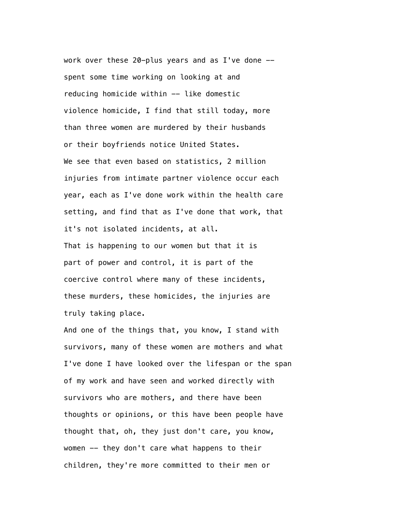work over these 20-plus years and as I've done  $$  spent some time working on looking at and reducing homicide within -- like domestic violence homicide, I find that still today, more than three women are murdered by their husbands or their boyfriends notice United States. We see that even based on statistics, 2 million injuries from intimate partner violence occur each year, each as I've done work within the health care setting, and find that as I've done that work, that it's not isolated incidents, at all. That is happening to our women but that it is part of power and control, it is part of the coercive control where many of these incidents, these murders, these homicides, the injuries are truly taking place.

 And one of the things that, you know, I stand with survivors, many of these women are mothers and what I've done I have looked over the lifespan or the span of my work and have seen and worked directly with survivors who are mothers, and there have been thoughts or opinions, or this have been people have thought that, oh, they just don't care, you know, women -- they don't care what happens to their children, they're more committed to their men or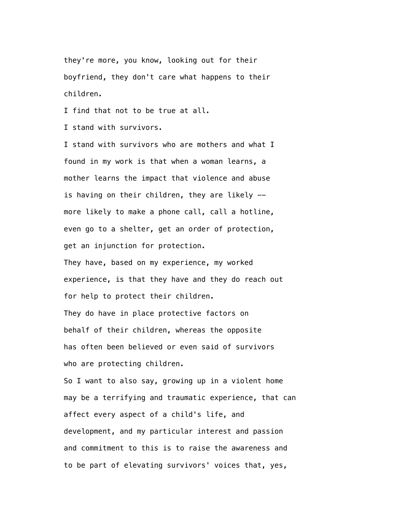they're more, you know, looking out for their boyfriend, they don't care what happens to their children.

I find that not to be true at all.

I stand with survivors.

 I stand with survivors who are mothers and what I found in my work is that when a woman learns, a mother learns the impact that violence and abuse is having on their children, they are likely - more likely to make a phone call, call a hotline, even go to a shelter, get an order of protection, get an injunction for protection.

 They have, based on my experience, my worked experience, is that they have and they do reach out for help to protect their children.

 They do have in place protective factors on behalf of their children, whereas the opposite has often been believed or even said of survivors who are protecting children.

 So I want to also say, growing up in a violent home may be a terrifying and traumatic experience, that can affect every aspect of a child's life, and development, and my particular interest and passion and commitment to this is to raise the awareness and to be part of elevating survivors' voices that, yes,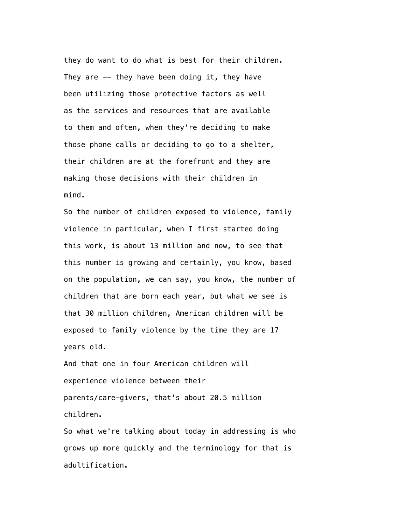they do want to do what is best for their children. They are  $-$  they have been doing it, they have been utilizing those protective factors as well as the services and resources that are available to them and often, when they're deciding to make those phone calls or deciding to go to a shelter, their children are at the forefront and they are making those decisions with their children in mind.

 So the number of children exposed to violence, family violence in particular, when I first started doing this work, is about 13 million and now, to see that this number is growing and certainly, you know, based on the population, we can say, you know, the number of children that are born each year, but what we see is that 30 million children, American children will be exposed to family violence by the time they are 17 years old.

 And that one in four American children will experience violence between their parents/care-givers, that's about 20.5 million children.

 So what we're talking about today in addressing is who grows up more quickly and the terminology for that is adultification.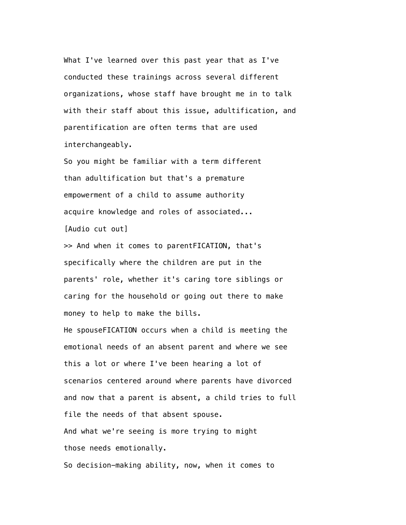What I've learned over this past year that as I've conducted these trainings across several different organizations, whose staff have brought me in to talk with their staff about this issue, adultification, and parentification are often terms that are used interchangeably.

 So you might be familiar with a term different than adultification but that's a premature empowerment of a child to assume authority acquire knowledge and roles of associated... [Audio cut out]

 >> And when it comes to parentFICATION, that's specifically where the children are put in the parents' role, whether it's caring tore siblings or caring for the household or going out there to make money to help to make the bills.

 He spouseFICATION occurs when a child is meeting the emotional needs of an absent parent and where we see this a lot or where I've been hearing a lot of scenarios centered around where parents have divorced and now that a parent is absent, a child tries to full file the needs of that absent spouse. And what we're seeing is more trying to might those needs emotionally. So decision-making ability, now, when it comes to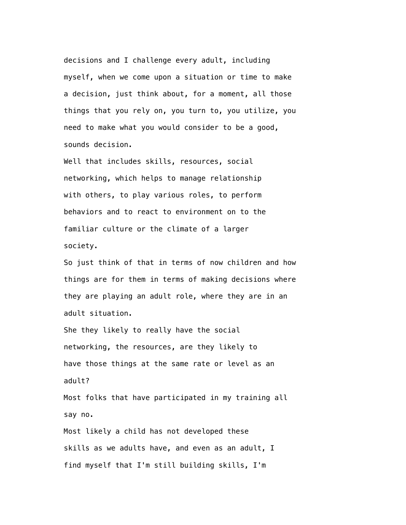decisions and I challenge every adult, including myself, when we come upon a situation or time to make a decision, just think about, for a moment, all those things that you rely on, you turn to, you utilize, you need to make what you would consider to be a good, sounds decision.

 Well that includes skills, resources, social networking, which helps to manage relationship with others, to play various roles, to perform behaviors and to react to environment on to the familiar culture or the climate of a larger society.

 So just think of that in terms of now children and how things are for them in terms of making decisions where they are playing an adult role, where they are in an adult situation.

 She they likely to really have the social networking, the resources, are they likely to have those things at the same rate or level as an adult?

 Most folks that have participated in my training all say no.

 Most likely a child has not developed these skills as we adults have, and even as an adult, I find myself that I'm still building skills, I'm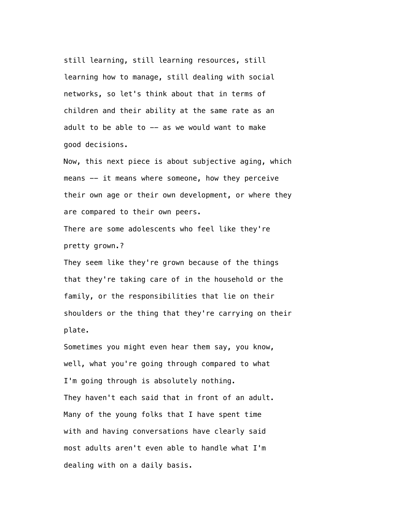still learning, still learning resources, still learning how to manage, still dealing with social networks, so let's think about that in terms of children and their ability at the same rate as an adult to be able to  $-$  as we would want to make good decisions.

 Now, this next piece is about subjective aging, which means -- it means where someone, how they perceive their own age or their own development, or where they are compared to their own peers.

 There are some adolescents who feel like they're pretty grown.?

 They seem like they're grown because of the things that they're taking care of in the household or the family, or the responsibilities that lie on their shoulders or the thing that they're carrying on their plate.

 Sometimes you might even hear them say, you know, well, what you're going through compared to what I'm going through is absolutely nothing. They haven't each said that in front of an adult. Many of the young folks that I have spent time with and having conversations have clearly said most adults aren't even able to handle what I'm dealing with on a daily basis.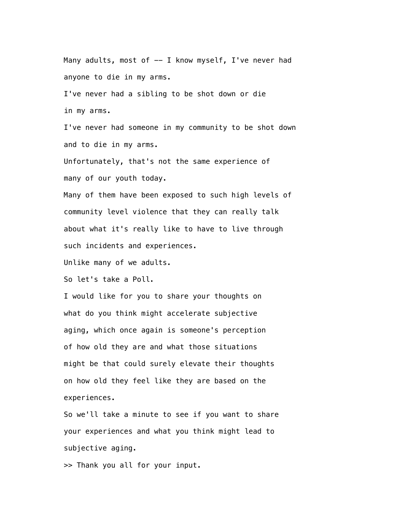Many adults, most of  $-$  I know myself, I've never had anyone to die in my arms. I've never had a sibling to be shot down or die in my arms. I've never had someone in my community to be shot down and to die in my arms.

 Unfortunately, that's not the same experience of many of our youth today.

 Many of them have been exposed to such high levels of community level violence that they can really talk about what it's really like to have to live through such incidents and experiences.

Unlike many of we adults.

So let's take a Poll.

 I would like for you to share your thoughts on what do you think might accelerate subjective aging, which once again is someone's perception of how old they are and what those situations might be that could surely elevate their thoughts on how old they feel like they are based on the experiences.

 So we'll take a minute to see if you want to share your experiences and what you think might lead to subjective aging.

>> Thank you all for your input.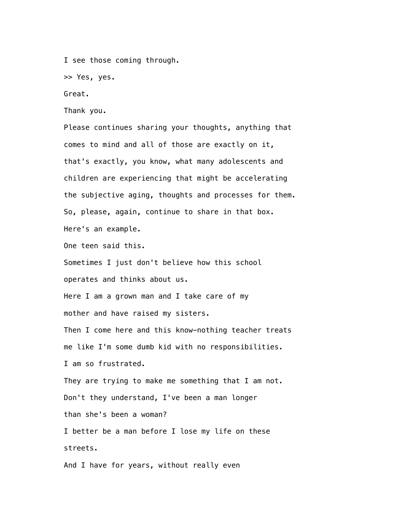I see those coming through.

>> Yes, yes.

Great.

Thank you.

 Please continues sharing your thoughts, anything that comes to mind and all of those are exactly on it, that's exactly, you know, what many adolescents and children are experiencing that might be accelerating the subjective aging, thoughts and processes for them. So, please, again, continue to share in that box. Here's an example.

One teen said this.

 Sometimes I just don't believe how this school operates and thinks about us.

 Here I am a grown man and I take care of my mother and have raised my sisters.

 Then I come here and this know-nothing teacher treats me like I'm some dumb kid with no responsibilities. I am so frustrated.

 They are trying to make me something that I am not. Don't they understand, I've been a man longer than she's been a woman?

 I better be a man before I lose my life on these streets.

And I have for years, without really even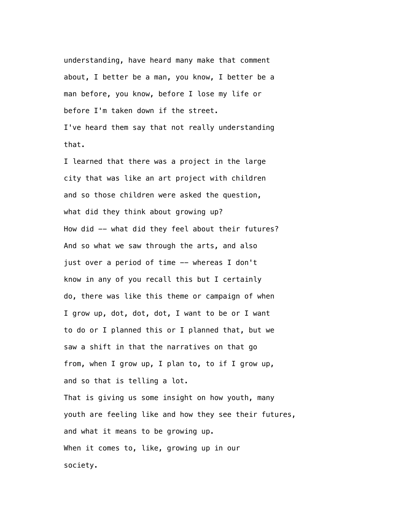understanding, have heard many make that comment about, I better be a man, you know, I better be a man before, you know, before I lose my life or before I'm taken down if the street.

 I've heard them say that not really understanding that.

 I learned that there was a project in the large city that was like an art project with children and so those children were asked the question, what did they think about growing up? How did -- what did they feel about their futures? And so what we saw through the arts, and also just over a period of time -- whereas I don't know in any of you recall this but I certainly do, there was like this theme or campaign of when I grow up, dot, dot, dot, I want to be or I want to do or I planned this or I planned that, but we saw a shift in that the narratives on that go from, when I grow up, I plan to, to if I grow up, and so that is telling a lot. That is giving us some insight on how youth, many

 youth are feeling like and how they see their futures, and what it means to be growing up. When it comes to, like, growing up in our society.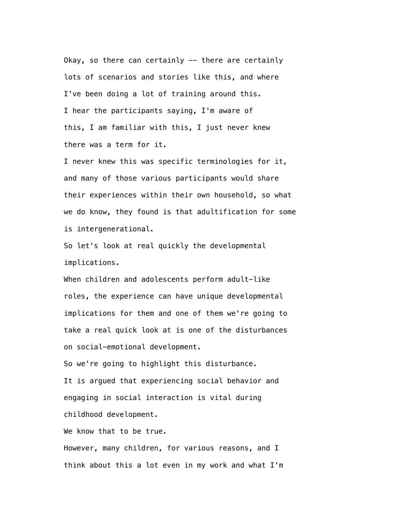Okay, so there can certainly -- there are certainly lots of scenarios and stories like this, and where I've been doing a lot of training around this. I hear the participants saying, I'm aware of this, I am familiar with this, I just never knew there was a term for it.

 I never knew this was specific terminologies for it, and many of those various participants would share their experiences within their own household, so what we do know, they found is that adultification for some is intergenerational.

 So let's look at real quickly the developmental implications.

 When children and adolescents perform adult-like roles, the experience can have unique developmental implications for them and one of them we're going to take a real quick look at is one of the disturbances on social-emotional development.

So we're going to highlight this disturbance.

 It is argued that experiencing social behavior and engaging in social interaction is vital during childhood development.

We know that to be true.

 However, many children, for various reasons, and I think about this a lot even in my work and what I'm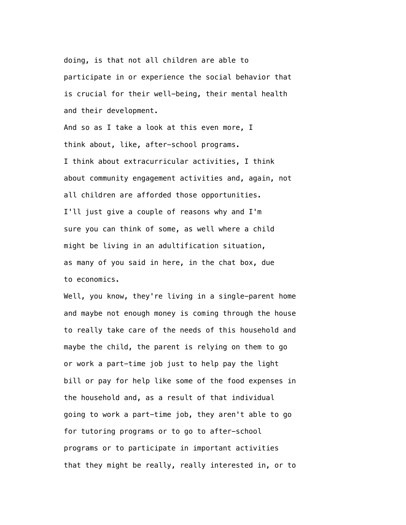doing, is that not all children are able to participate in or experience the social behavior that is crucial for their well-being, their mental health and their development.

 And so as I take a look at this even more, I think about, like, after-school programs. I think about extracurricular activities, I think about community engagement activities and, again, not all children are afforded those opportunities. I'll just give a couple of reasons why and I'm sure you can think of some, as well where a child might be living in an adultification situation, as many of you said in here, in the chat box, due to economics.

 Well, you know, they're living in a single-parent home and maybe not enough money is coming through the house to really take care of the needs of this household and maybe the child, the parent is relying on them to go or work a part-time job just to help pay the light bill or pay for help like some of the food expenses in the household and, as a result of that individual going to work a part-time job, they aren't able to go for tutoring programs or to go to after-school programs or to participate in important activities that they might be really, really interested in, or to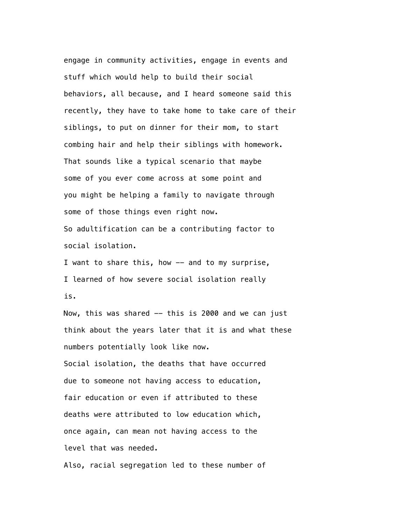engage in community activities, engage in events and stuff which would help to build their social behaviors, all because, and I heard someone said this recently, they have to take home to take care of their siblings, to put on dinner for their mom, to start combing hair and help their siblings with homework. That sounds like a typical scenario that maybe some of you ever come across at some point and you might be helping a family to navigate through some of those things even right now. So adultification can be a contributing factor to social isolation.

I want to share this, how -- and to my surprise, I learned of how severe social isolation really is.

Now, this was shared -- this is 2000 and we can just think about the years later that it is and what these numbers potentially look like now. Social isolation, the deaths that have occurred due to someone not having access to education, fair education or even if attributed to these deaths were attributed to low education which,

 once again, can mean not having access to the level that was needed.

Also, racial segregation led to these number of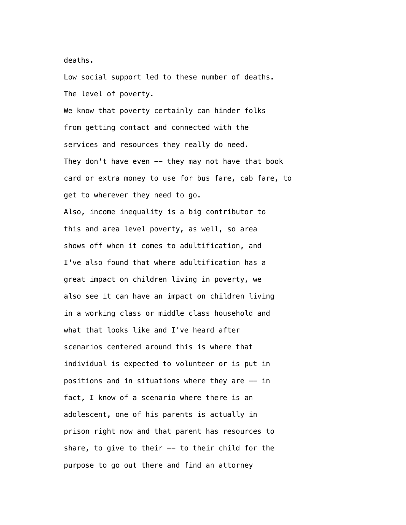deaths.

 Low social support led to these number of deaths. The level of poverty.

 We know that poverty certainly can hinder folks from getting contact and connected with the services and resources they really do need. They don't have even -- they may not have that book card or extra money to use for bus fare, cab fare, to get to wherever they need to go. Also, income inequality is a big contributor to this and area level poverty, as well, so area shows off when it comes to adultification, and I've also found that where adultification has a great impact on children living in poverty, we also see it can have an impact on children living in a working class or middle class household and what that looks like and I've heard after scenarios centered around this is where that individual is expected to volunteer or is put in positions and in situations where they are -- in fact, I know of a scenario where there is an adolescent, one of his parents is actually in prison right now and that parent has resources to share, to give to their  $-$  to their child for the purpose to go out there and find an attorney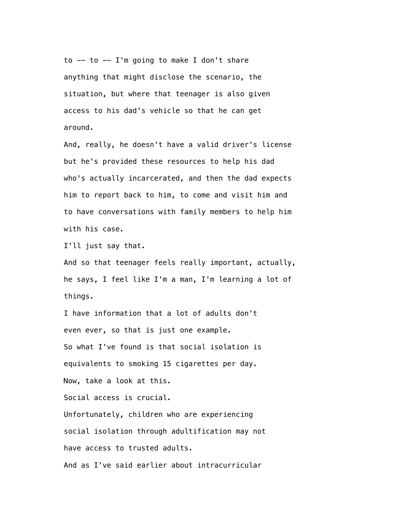to  $--$  to  $--$  I'm going to make I don't share anything that might disclose the scenario, the situation, but where that teenager is also given access to his dad's vehicle so that he can get around.

 And, really, he doesn't have a valid driver's license but he's provided these resources to help his dad who's actually incarcerated, and then the dad expects him to report back to him, to come and visit him and to have conversations with family members to help him with his case.

I'll just say that.

 And so that teenager feels really important, actually, he says, I feel like I'm a man, I'm learning a lot of things.

 I have information that a lot of adults don't even ever, so that is just one example. So what I've found is that social isolation is equivalents to smoking 15 cigarettes per day. Now, take a look at this. Social access is crucial. Unfortunately, children who are experiencing social isolation through adultification may not have access to trusted adults. And as I've said earlier about intracurricular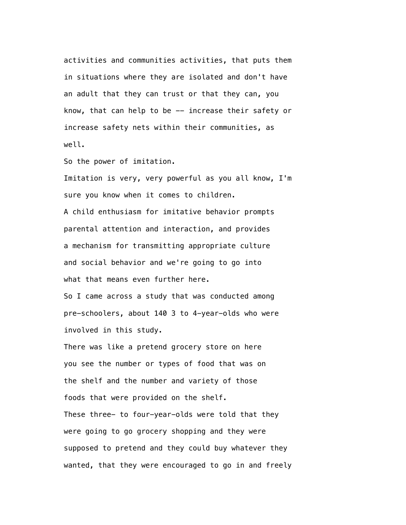activities and communities activities, that puts them in situations where they are isolated and don't have an adult that they can trust or that they can, you know, that can help to be -- increase their safety or increase safety nets within their communities, as well.

So the power of imitation.

 Imitation is very, very powerful as you all know, I'm sure you know when it comes to children. A child enthusiasm for imitative behavior prompts parental attention and interaction, and provides a mechanism for transmitting appropriate culture and social behavior and we're going to go into what that means even further here.

 So I came across a study that was conducted among pre-schoolers, about 140 3 to 4-year-olds who were involved in this study.

 There was like a pretend grocery store on here you see the number or types of food that was on the shelf and the number and variety of those foods that were provided on the shelf. These three- to four-year-olds were told that they were going to go grocery shopping and they were supposed to pretend and they could buy whatever they wanted, that they were encouraged to go in and freely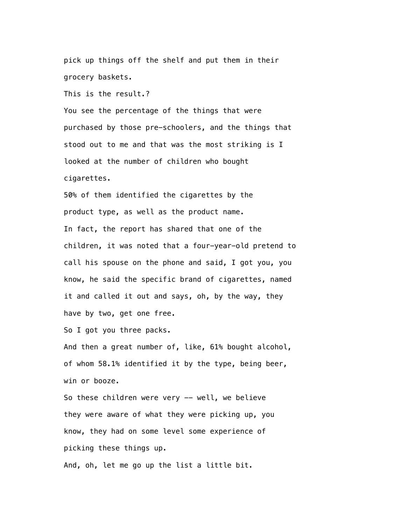pick up things off the shelf and put them in their grocery baskets.

This is the result.?

 You see the percentage of the things that were purchased by those pre-schoolers, and the things that stood out to me and that was the most striking is I looked at the number of children who bought cigarettes.

 50% of them identified the cigarettes by the product type, as well as the product name. In fact, the report has shared that one of the children, it was noted that a four-year-old pretend to call his spouse on the phone and said, I got you, you know, he said the specific brand of cigarettes, named it and called it out and says, oh, by the way, they have by two, get one free.

So I got you three packs.

 And then a great number of, like, 61% bought alcohol, of whom 58.1% identified it by the type, being beer, win or booze.

So these children were very -- well, we believe they were aware of what they were picking up, you know, they had on some level some experience of picking these things up. And, oh, let me go up the list a little bit.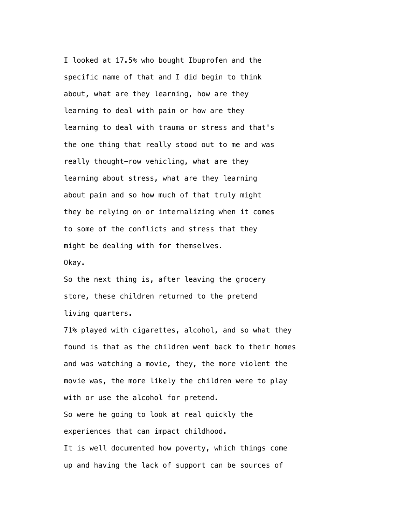I looked at 17.5% who bought Ibuprofen and the specific name of that and I did begin to think about, what are they learning, how are they learning to deal with pain or how are they learning to deal with trauma or stress and that's the one thing that really stood out to me and was really thought-row vehicling, what are they learning about stress, what are they learning about pain and so how much of that truly might they be relying on or internalizing when it comes to some of the conflicts and stress that they might be dealing with for themselves. Okay.

 So the next thing is, after leaving the grocery store, these children returned to the pretend living quarters.

 71% played with cigarettes, alcohol, and so what they found is that as the children went back to their homes and was watching a movie, they, the more violent the movie was, the more likely the children were to play with or use the alcohol for pretend.

 So were he going to look at real quickly the experiences that can impact childhood.

 It is well documented how poverty, which things come up and having the lack of support can be sources of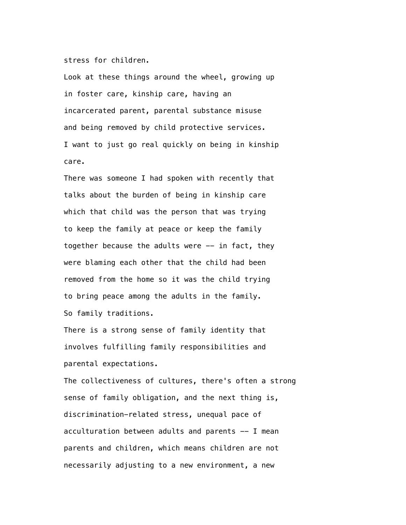stress for children.

 Look at these things around the wheel, growing up in foster care, kinship care, having an incarcerated parent, parental substance misuse and being removed by child protective services. I want to just go real quickly on being in kinship care.

 There was someone I had spoken with recently that talks about the burden of being in kinship care which that child was the person that was trying to keep the family at peace or keep the family together because the adults were  $-$  in fact, they were blaming each other that the child had been removed from the home so it was the child trying to bring peace among the adults in the family. So family traditions.

 There is a strong sense of family identity that involves fulfilling family responsibilities and parental expectations.

 The collectiveness of cultures, there's often a strong sense of family obligation, and the next thing is, discrimination-related stress, unequal pace of acculturation between adults and parents  $-$  I mean parents and children, which means children are not necessarily adjusting to a new environment, a new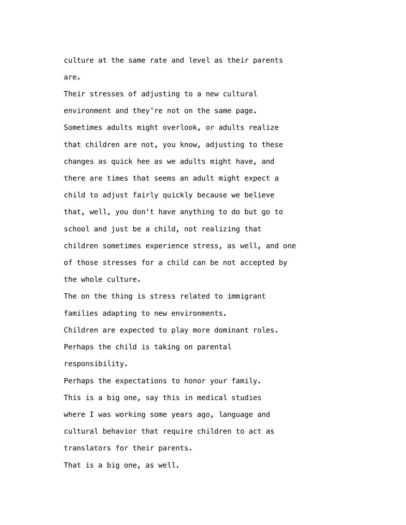culture at the same rate and level as their parents are.

 Their stresses of adjusting to a new cultural environment and they're not on the same page. Sometimes adults might overlook, or adults realize that children are not, you know, adjusting to these changes as quick hee as we adults might have, and there are times that seems an adult might expect a child to adjust fairly quickly because we believe that, well, you don't have anything to do but go to school and just be a child, not realizing that children sometimes experience stress, as well, and one of those stresses for a child can be not accepted by the whole culture.

 The on the thing is stress related to immigrant families adapting to new environments. Children are expected to play more dominant roles. Perhaps the child is taking on parental responsibility.

 Perhaps the expectations to honor your family. This is a big one, say this in medical studies where I was working some years ago, language and cultural behavior that require children to act as translators for their parents. That is a big one, as well.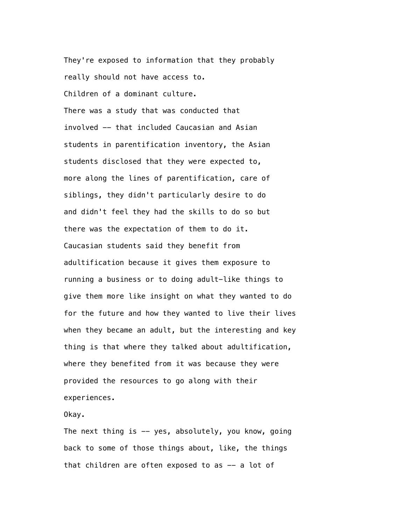They're exposed to information that they probably really should not have access to. Children of a dominant culture.

 There was a study that was conducted that involved -- that included Caucasian and Asian students in parentification inventory, the Asian students disclosed that they were expected to, more along the lines of parentification, care of siblings, they didn't particularly desire to do and didn't feel they had the skills to do so but there was the expectation of them to do it. Caucasian students said they benefit from adultification because it gives them exposure to running a business or to doing adult-like things to give them more like insight on what they wanted to do for the future and how they wanted to live their lives when they became an adult, but the interesting and key thing is that where they talked about adultification, where they benefited from it was because they were provided the resources to go along with their experiences.

## Okay.

The next thing is  $-$  yes, absolutely, you know, going back to some of those things about, like, the things that children are often exposed to as -- a lot of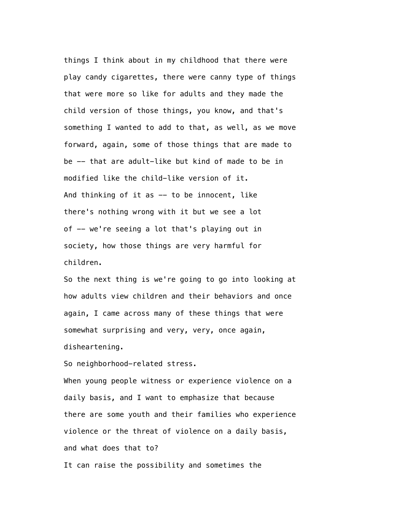things I think about in my childhood that there were play candy cigarettes, there were canny type of things that were more so like for adults and they made the child version of those things, you know, and that's something I wanted to add to that, as well, as we move forward, again, some of those things that are made to be -- that are adult-like but kind of made to be in modified like the child-like version of it. And thinking of it as  $-$  to be innocent, like there's nothing wrong with it but we see a lot of -- we're seeing a lot that's playing out in society, how those things are very harmful for children.

 So the next thing is we're going to go into looking at how adults view children and their behaviors and once again, I came across many of these things that were somewhat surprising and very, very, once again, disheartening.

So neighborhood-related stress.

 When young people witness or experience violence on a daily basis, and I want to emphasize that because there are some youth and their families who experience violence or the threat of violence on a daily basis, and what does that to?

It can raise the possibility and sometimes the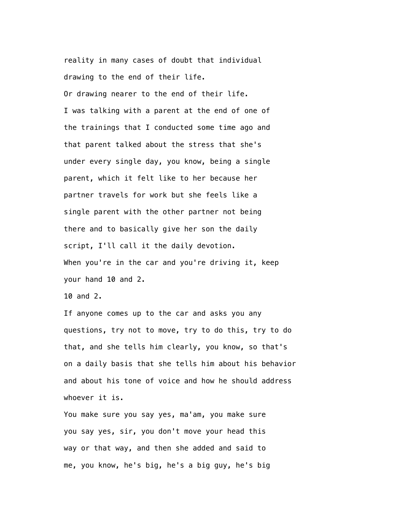reality in many cases of doubt that individual drawing to the end of their life. Or drawing nearer to the end of their life. I was talking with a parent at the end of one of the trainings that I conducted some time ago and that parent talked about the stress that she's under every single day, you know, being a single parent, which it felt like to her because her partner travels for work but she feels like a single parent with the other partner not being there and to basically give her son the daily script, I'll call it the daily devotion. When you're in the car and you're driving it, keep your hand 10 and 2.

10 and 2.

 If anyone comes up to the car and asks you any questions, try not to move, try to do this, try to do that, and she tells him clearly, you know, so that's on a daily basis that she tells him about his behavior and about his tone of voice and how he should address whoever it is.

 You make sure you say yes, ma'am, you make sure you say yes, sir, you don't move your head this way or that way, and then she added and said to me, you know, he's big, he's a big guy, he's big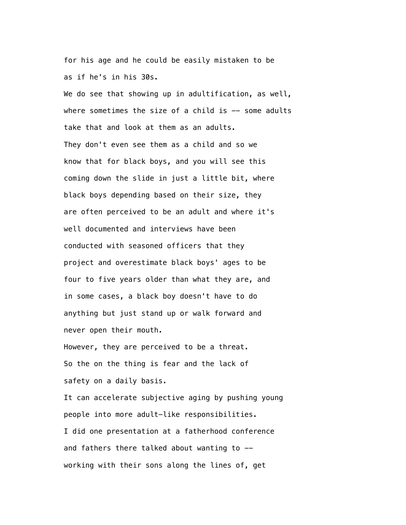for his age and he could be easily mistaken to be as if he's in his 30s.

We do see that showing up in adultification, as well, where sometimes the size of a child is  $-$  some adults take that and look at them as an adults. They don't even see them as a child and so we know that for black boys, and you will see this coming down the slide in just a little bit, where black boys depending based on their size, they are often perceived to be an adult and where it's well documented and interviews have been conducted with seasoned officers that they project and overestimate black boys' ages to be four to five years older than what they are, and in some cases, a black boy doesn't have to do anything but just stand up or walk forward and never open their mouth.

 However, they are perceived to be a threat. So the on the thing is fear and the lack of safety on a daily basis.

 It can accelerate subjective aging by pushing young people into more adult-like responsibilities. I did one presentation at a fatherhood conference and fathers there talked about wanting to - working with their sons along the lines of, get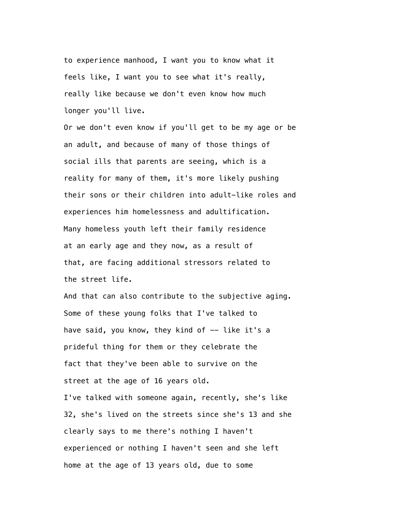to experience manhood, I want you to know what it feels like, I want you to see what it's really, really like because we don't even know how much longer you'll live.

 Or we don't even know if you'll get to be my age or be an adult, and because of many of those things of social ills that parents are seeing, which is a reality for many of them, it's more likely pushing their sons or their children into adult-like roles and experiences him homelessness and adultification. Many homeless youth left their family residence at an early age and they now, as a result of that, are facing additional stressors related to the street life.

 And that can also contribute to the subjective aging. Some of these young folks that I've talked to have said, you know, they kind of -- like it's a prideful thing for them or they celebrate the fact that they've been able to survive on the street at the age of 16 years old. I've talked with someone again, recently, she's like 32, she's lived on the streets since she's 13 and she

 clearly says to me there's nothing I haven't experienced or nothing I haven't seen and she left home at the age of 13 years old, due to some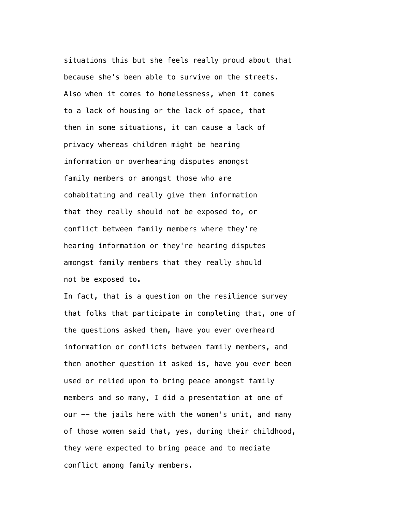situations this but she feels really proud about that because she's been able to survive on the streets. Also when it comes to homelessness, when it comes to a lack of housing or the lack of space, that then in some situations, it can cause a lack of privacy whereas children might be hearing information or overhearing disputes amongst family members or amongst those who are cohabitating and really give them information that they really should not be exposed to, or conflict between family members where they're hearing information or they're hearing disputes amongst family members that they really should not be exposed to.

 In fact, that is a question on the resilience survey that folks that participate in completing that, one of the questions asked them, have you ever overheard information or conflicts between family members, and then another question it asked is, have you ever been used or relied upon to bring peace amongst family members and so many, I did a presentation at one of our -- the jails here with the women's unit, and many of those women said that, yes, during their childhood, they were expected to bring peace and to mediate conflict among family members.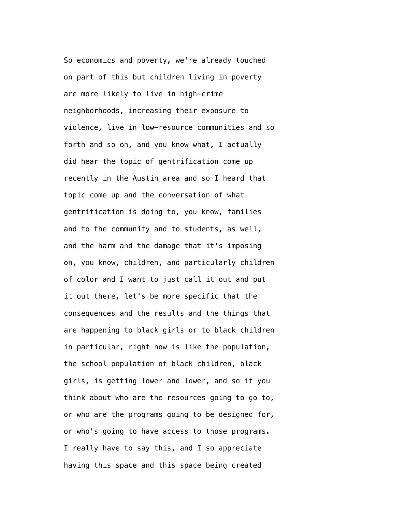So economics and poverty, we're already touched on part of this but children living in poverty are more likely to live in high-crime neighborhoods, increasing their exposure to violence, live in low-resource communities and so forth and so on, and you know what, I actually did hear the topic of gentrification come up recently in the Austin area and so I heard that topic come up and the conversation of what gentrification is doing to, you know, families and to the community and to students, as well, and the harm and the damage that it's imposing on, you know, children, and particularly children of color and I want to just call it out and put it out there, let's be more specific that the consequences and the results and the things that are happening to black girls or to black children in particular, right now is like the population, the school population of black children, black girls, is getting lower and lower, and so if you think about who are the resources going to go to, or who are the programs going to be designed for, or who's going to have access to those programs. I really have to say this, and I so appreciate having this space and this space being created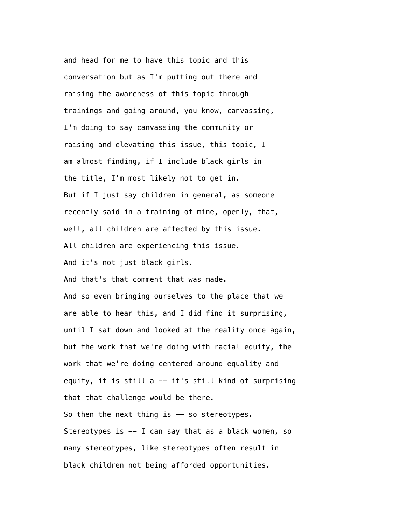and head for me to have this topic and this conversation but as I'm putting out there and raising the awareness of this topic through trainings and going around, you know, canvassing, I'm doing to say canvassing the community or raising and elevating this issue, this topic, I am almost finding, if I include black girls in the title, I'm most likely not to get in. But if I just say children in general, as someone recently said in a training of mine, openly, that, well, all children are affected by this issue. All children are experiencing this issue. And it's not just black girls. And that's that comment that was made.

 And so even bringing ourselves to the place that we are able to hear this, and I did find it surprising, until I sat down and looked at the reality once again, but the work that we're doing with racial equity, the work that we're doing centered around equality and equity, it is still  $a$  -- it's still kind of surprising that that challenge would be there. So then the next thing is -- so stereotypes. Stereotypes is  $-$  I can say that as a black women, so many stereotypes, like stereotypes often result in black children not being afforded opportunities.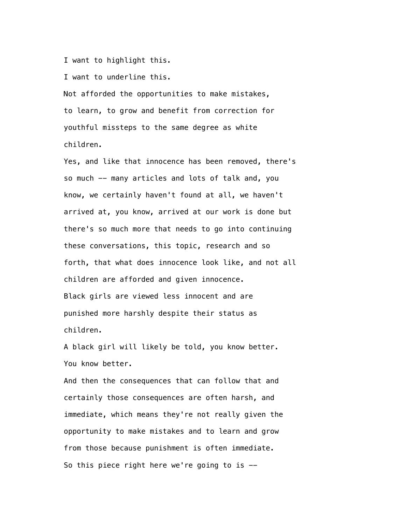I want to highlight this.

I want to underline this.

 Not afforded the opportunities to make mistakes, to learn, to grow and benefit from correction for youthful missteps to the same degree as white children.

 Yes, and like that innocence has been removed, there's so much -- many articles and lots of talk and, you know, we certainly haven't found at all, we haven't arrived at, you know, arrived at our work is done but there's so much more that needs to go into continuing these conversations, this topic, research and so forth, that what does innocence look like, and not all children are afforded and given innocence. Black girls are viewed less innocent and are punished more harshly despite their status as children.

 A black girl will likely be told, you know better. You know better.

 And then the consequences that can follow that and certainly those consequences are often harsh, and immediate, which means they're not really given the opportunity to make mistakes and to learn and grow from those because punishment is often immediate. So this piece right here we're going to is  $-$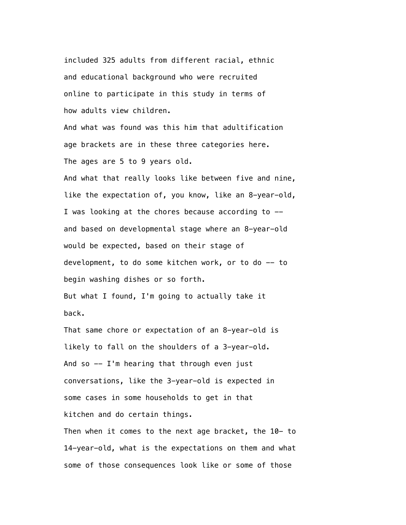included 325 adults from different racial, ethnic and educational background who were recruited online to participate in this study in terms of how adults view children.

 And what was found was this him that adultification age brackets are in these three categories here. The ages are 5 to 9 years old.

 And what that really looks like between five and nine, like the expectation of, you know, like an 8-year-old, I was looking at the chores because according to - and based on developmental stage where an 8-year-old would be expected, based on their stage of development, to do some kitchen work, or to do -- to begin washing dishes or so forth. But what I found, I'm going to actually take it

 That same chore or expectation of an 8-year-old is likely to fall on the shoulders of a 3-year-old. And so  $-$  I'm hearing that through even just conversations, like the 3-year-old is expected in some cases in some households to get in that kitchen and do certain things.

back.

 Then when it comes to the next age bracket, the 10- to 14-year-old, what is the expectations on them and what some of those consequences look like or some of those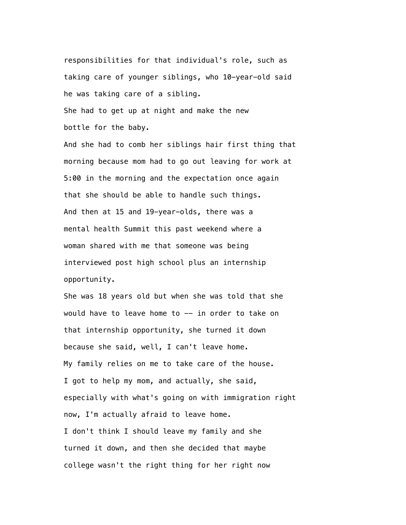responsibilities for that individual's role, such as taking care of younger siblings, who 10-year-old said he was taking care of a sibling.

 She had to get up at night and make the new bottle for the baby.

 And she had to comb her siblings hair first thing that morning because mom had to go out leaving for work at 5:00 in the morning and the expectation once again that she should be able to handle such things. And then at 15 and 19-year-olds, there was a mental health Summit this past weekend where a woman shared with me that someone was being interviewed post high school plus an internship opportunity.

 She was 18 years old but when she was told that she would have to leave home to -- in order to take on that internship opportunity, she turned it down because she said, well, I can't leave home. My family relies on me to take care of the house. I got to help my mom, and actually, she said, especially with what's going on with immigration right now, I'm actually afraid to leave home. I don't think I should leave my family and she turned it down, and then she decided that maybe college wasn't the right thing for her right now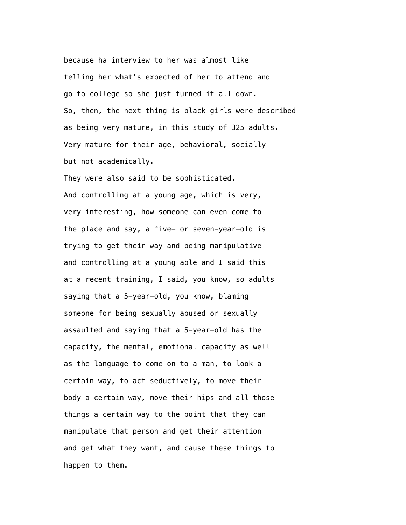because ha interview to her was almost like telling her what's expected of her to attend and go to college so she just turned it all down. So, then, the next thing is black girls were described as being very mature, in this study of 325 adults. Very mature for their age, behavioral, socially but not academically.

 They were also said to be sophisticated. And controlling at a young age, which is very, very interesting, how someone can even come to the place and say, a five- or seven-year-old is trying to get their way and being manipulative and controlling at a young able and I said this at a recent training, I said, you know, so adults saying that a 5-year-old, you know, blaming someone for being sexually abused or sexually assaulted and saying that a 5-year-old has the capacity, the mental, emotional capacity as well as the language to come on to a man, to look a certain way, to act seductively, to move their body a certain way, move their hips and all those things a certain way to the point that they can manipulate that person and get their attention and get what they want, and cause these things to happen to them.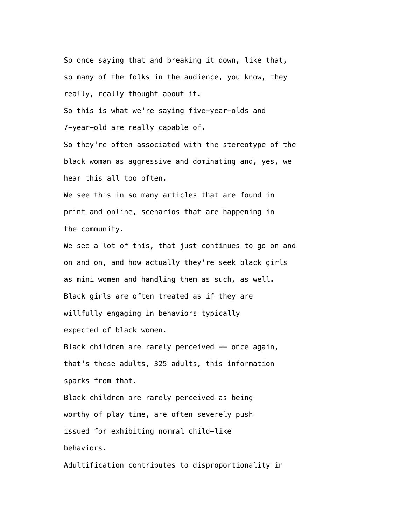So once saying that and breaking it down, like that, so many of the folks in the audience, you know, they really, really thought about it.

 So this is what we're saying five-year-olds and 7-year-old are really capable of.

 So they're often associated with the stereotype of the black woman as aggressive and dominating and, yes, we hear this all too often.

 We see this in so many articles that are found in print and online, scenarios that are happening in the community.

We see a lot of this, that just continues to go on and on and on, and how actually they're seek black girls as mini women and handling them as such, as well. Black girls are often treated as if they are willfully engaging in behaviors typically expected of black women.

Black children are rarely perceived -- once again, that's these adults, 325 adults, this information sparks from that.

 Black children are rarely perceived as being worthy of play time, are often severely push issued for exhibiting normal child-like behaviors.

Adultification contributes to disproportionality in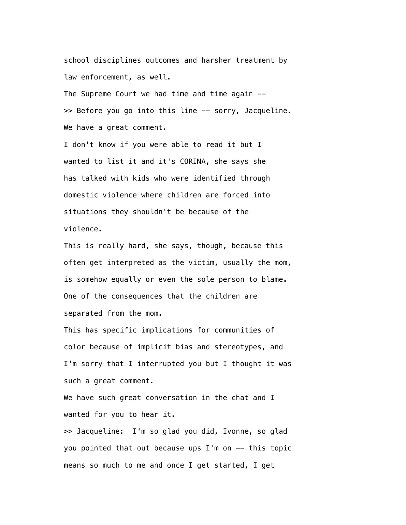school disciplines outcomes and harsher treatment by law enforcement, as well.

The Supreme Court we had time and time again  $-$ >> Before you go into this line -- sorry, Jacqueline. We have a great comment.

 I don't know if you were able to read it but I wanted to list it and it's CORINA, she says she has talked with kids who were identified through domestic violence where children are forced into situations they shouldn't be because of the violence.

 This is really hard, she says, though, because this often get interpreted as the victim, usually the mom, is somehow equally or even the sole person to blame. One of the consequences that the children are separated from the mom.

 This has specific implications for communities of color because of implicit bias and stereotypes, and I'm sorry that I interrupted you but I thought it was such a great comment.

 We have such great conversation in the chat and I wanted for you to hear it.

 >> Jacqueline: I'm so glad you did, Ivonne, so glad you pointed that out because ups I'm on -- this topic means so much to me and once I get started, I get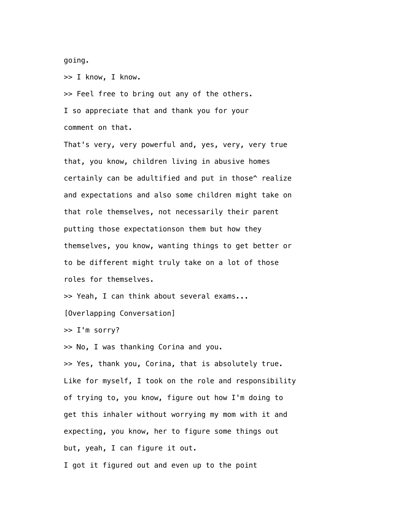going.

>> I know, I know.

 >> Feel free to bring out any of the others. I so appreciate that and thank you for your comment on that.

 That's very, very powerful and, yes, very, very true that, you know, children living in abusive homes certainly can be adultified and put in those^ realize and expectations and also some children might take on that role themselves, not necessarily their parent putting those expectationson them but how they themselves, you know, wanting things to get better or to be different might truly take on a lot of those roles for themselves.

>> Yeah, I can think about several exams...

[Overlapping Conversation]

>> I'm sorry?

>> No, I was thanking Corina and you.

 >> Yes, thank you, Corina, that is absolutely true. Like for myself, I took on the role and responsibility of trying to, you know, figure out how I'm doing to get this inhaler without worrying my mom with it and expecting, you know, her to figure some things out but, yeah, I can figure it out.

I got it figured out and even up to the point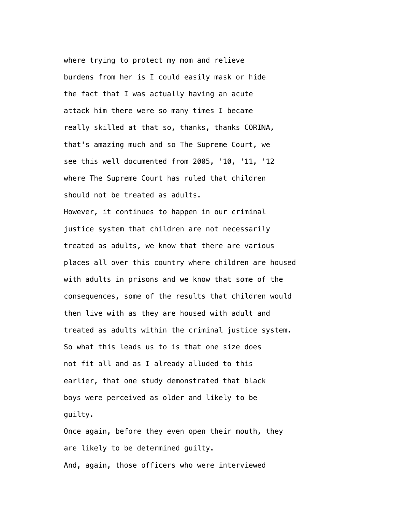where trying to protect my mom and relieve burdens from her is I could easily mask or hide the fact that I was actually having an acute attack him there were so many times I became really skilled at that so, thanks, thanks CORINA, that's amazing much and so The Supreme Court, we see this well documented from 2005, '10, '11, '12 where The Supreme Court has ruled that children should not be treated as adults.

 However, it continues to happen in our criminal justice system that children are not necessarily treated as adults, we know that there are various places all over this country where children are housed with adults in prisons and we know that some of the consequences, some of the results that children would then live with as they are housed with adult and treated as adults within the criminal justice system. So what this leads us to is that one size does not fit all and as I already alluded to this earlier, that one study demonstrated that black boys were perceived as older and likely to be guilty.

 Once again, before they even open their mouth, they are likely to be determined guilty. And, again, those officers who were interviewed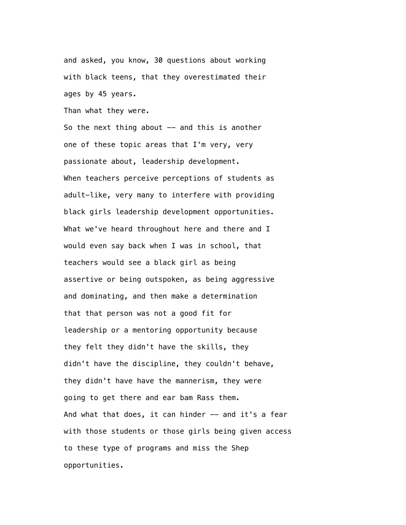and asked, you know, 30 questions about working with black teens, that they overestimated their ages by 45 years.

Than what they were.

So the next thing about  $-$  and this is another one of these topic areas that I'm very, very passionate about, leadership development. When teachers perceive perceptions of students as adult-like, very many to interfere with providing black girls leadership development opportunities. What we've heard throughout here and there and I would even say back when I was in school, that teachers would see a black girl as being assertive or being outspoken, as being aggressive and dominating, and then make a determination that that person was not a good fit for leadership or a mentoring opportunity because they felt they didn't have the skills, they didn't have the discipline, they couldn't behave, they didn't have have the mannerism, they were going to get there and ear bam Rass them. And what that does, it can hinder -- and it's a fear with those students or those girls being given access to these type of programs and miss the Shep opportunities.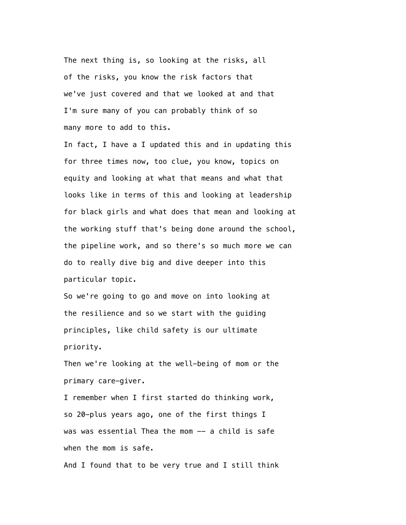The next thing is, so looking at the risks, all of the risks, you know the risk factors that we've just covered and that we looked at and that I'm sure many of you can probably think of so many more to add to this.

 In fact, I have a I updated this and in updating this for three times now, too clue, you know, topics on equity and looking at what that means and what that looks like in terms of this and looking at leadership for black girls and what does that mean and looking at the working stuff that's being done around the school, the pipeline work, and so there's so much more we can do to really dive big and dive deeper into this particular topic.

 So we're going to go and move on into looking at the resilience and so we start with the guiding principles, like child safety is our ultimate priority.

 Then we're looking at the well-being of mom or the primary care-giver.

 I remember when I first started do thinking work, so 20-plus years ago, one of the first things I was was essential Thea the mom -- a child is safe when the mom is safe.

And I found that to be very true and I still think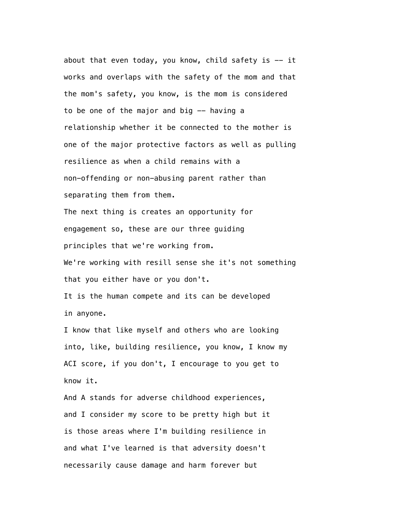about that even today, you know, child safety is  $-$  it works and overlaps with the safety of the mom and that the mom's safety, you know, is the mom is considered to be one of the major and big  $-$  having a relationship whether it be connected to the mother is one of the major protective factors as well as pulling resilience as when a child remains with a non-offending or non-abusing parent rather than separating them from them. The next thing is creates an opportunity for engagement so, these are our three guiding principles that we're working from. We're working with resill sense she it's not something that you either have or you don't. It is the human compete and its can be developed in anyone.

 I know that like myself and others who are looking into, like, building resilience, you know, I know my ACI score, if you don't, I encourage to you get to know it.

 And A stands for adverse childhood experiences, and I consider my score to be pretty high but it is those areas where I'm building resilience in and what I've learned is that adversity doesn't necessarily cause damage and harm forever but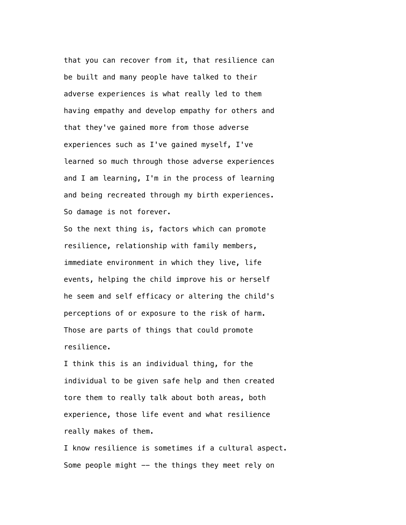that you can recover from it, that resilience can be built and many people have talked to their adverse experiences is what really led to them having empathy and develop empathy for others and that they've gained more from those adverse experiences such as I've gained myself, I've learned so much through those adverse experiences and I am learning, I'm in the process of learning and being recreated through my birth experiences. So damage is not forever.

 So the next thing is, factors which can promote resilience, relationship with family members, immediate environment in which they live, life events, helping the child improve his or herself he seem and self efficacy or altering the child's perceptions of or exposure to the risk of harm. Those are parts of things that could promote resilience.

 I think this is an individual thing, for the individual to be given safe help and then created tore them to really talk about both areas, both experience, those life event and what resilience really makes of them.

 I know resilience is sometimes if a cultural aspect. Some people might -- the things they meet rely on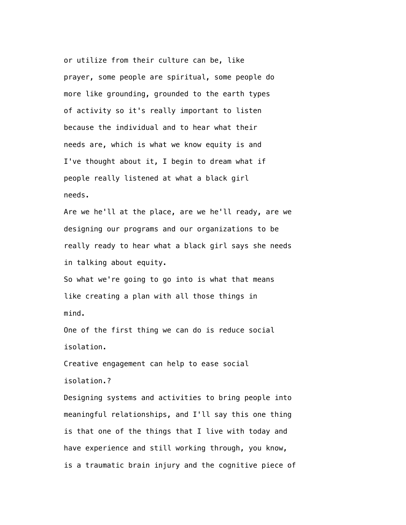or utilize from their culture can be, like prayer, some people are spiritual, some people do more like grounding, grounded to the earth types of activity so it's really important to listen because the individual and to hear what their needs are, which is what we know equity is and I've thought about it, I begin to dream what if people really listened at what a black girl needs.

 Are we he'll at the place, are we he'll ready, are we designing our programs and our organizations to be really ready to hear what a black girl says she needs in talking about equity.

 So what we're going to go into is what that means like creating a plan with all those things in mind.

 One of the first thing we can do is reduce social isolation.

 Creative engagement can help to ease social isolation.?

 Designing systems and activities to bring people into meaningful relationships, and I'll say this one thing is that one of the things that I live with today and have experience and still working through, you know, is a traumatic brain injury and the cognitive piece of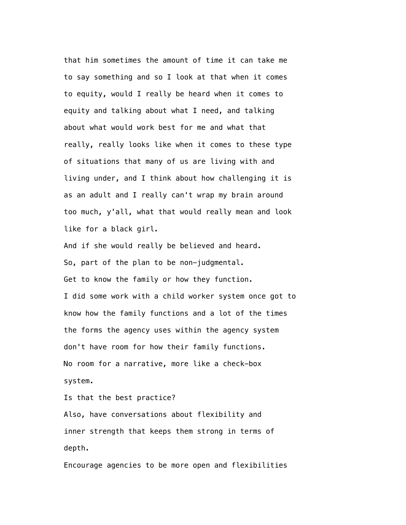that him sometimes the amount of time it can take me to say something and so I look at that when it comes to equity, would I really be heard when it comes to equity and talking about what I need, and talking about what would work best for me and what that really, really looks like when it comes to these type of situations that many of us are living with and living under, and I think about how challenging it is as an adult and I really can't wrap my brain around too much, y'all, what that would really mean and look like for a black girl.

 And if she would really be believed and heard. So, part of the plan to be non-judgmental. Get to know the family or how they function. I did some work with a child worker system once got to know how the family functions and a lot of the times the forms the agency uses within the agency system don't have room for how their family functions. No room for a narrative, more like a check-box system.

Is that the best practice?

 Also, have conversations about flexibility and inner strength that keeps them strong in terms of depth.

Encourage agencies to be more open and flexibilities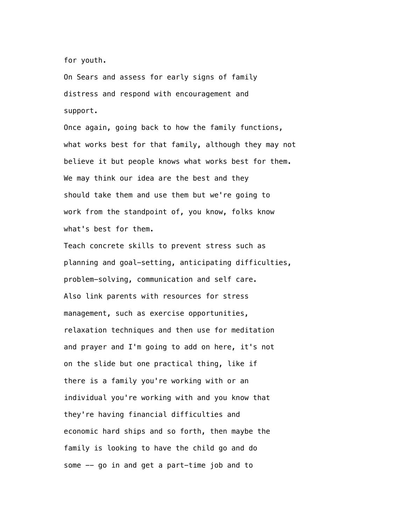for youth.

 On Sears and assess for early signs of family distress and respond with encouragement and support.

 Once again, going back to how the family functions, what works best for that family, although they may not believe it but people knows what works best for them. We may think our idea are the best and they should take them and use them but we're going to work from the standpoint of, you know, folks know what's best for them.

 Teach concrete skills to prevent stress such as planning and goal-setting, anticipating difficulties, problem-solving, communication and self care. Also link parents with resources for stress management, such as exercise opportunities, relaxation techniques and then use for meditation and prayer and I'm going to add on here, it's not on the slide but one practical thing, like if there is a family you're working with or an individual you're working with and you know that they're having financial difficulties and economic hard ships and so forth, then maybe the family is looking to have the child go and do some -- go in and get a part-time job and to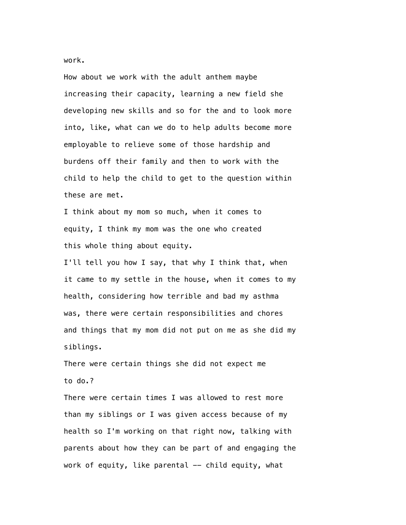work.

 How about we work with the adult anthem maybe increasing their capacity, learning a new field she developing new skills and so for the and to look more into, like, what can we do to help adults become more employable to relieve some of those hardship and burdens off their family and then to work with the child to help the child to get to the question within these are met.

 I think about my mom so much, when it comes to equity, I think my mom was the one who created this whole thing about equity.

 I'll tell you how I say, that why I think that, when it came to my settle in the house, when it comes to my health, considering how terrible and bad my asthma was, there were certain responsibilities and chores and things that my mom did not put on me as she did my siblings.

 There were certain things she did not expect me to do.?

 There were certain times I was allowed to rest more than my siblings or I was given access because of my health so I'm working on that right now, talking with parents about how they can be part of and engaging the work of equity, like parental -- child equity, what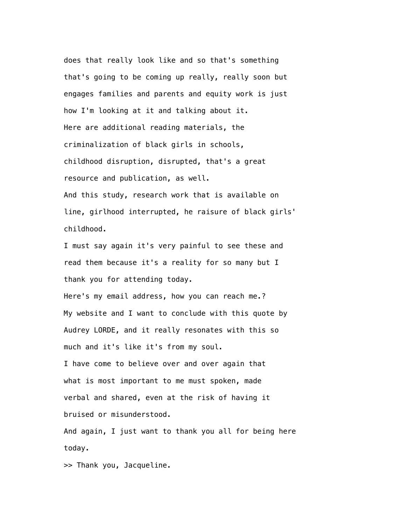does that really look like and so that's something that's going to be coming up really, really soon but engages families and parents and equity work is just how I'm looking at it and talking about it. Here are additional reading materials, the criminalization of black girls in schools, childhood disruption, disrupted, that's a great resource and publication, as well. And this study, research work that is available on line, girlhood interrupted, he raisure of black girls' childhood.

 I must say again it's very painful to see these and read them because it's a reality for so many but I thank you for attending today.

 Here's my email address, how you can reach me.? My website and I want to conclude with this quote by Audrey LORDE, and it really resonates with this so much and it's like it's from my soul.

 I have come to believe over and over again that what is most important to me must spoken, made verbal and shared, even at the risk of having it bruised or misunderstood.

 And again, I just want to thank you all for being here today.

>> Thank you, Jacqueline.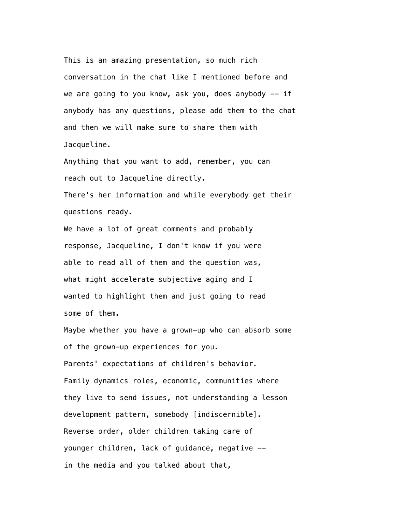This is an amazing presentation, so much rich conversation in the chat like I mentioned before and we are going to you know, ask you, does anybody  $-$  if anybody has any questions, please add them to the chat and then we will make sure to share them with Jacqueline.

 Anything that you want to add, remember, you can reach out to Jacqueline directly. There's her information and while everybody get their

questions ready.

 We have a lot of great comments and probably response, Jacqueline, I don't know if you were able to read all of them and the question was, what might accelerate subjective aging and I wanted to highlight them and just going to read some of them.

 Maybe whether you have a grown-up who can absorb some of the grown-up experiences for you. Parents' expectations of children's behavior. Family dynamics roles, economic, communities where they live to send issues, not understanding a lesson development pattern, somebody [indiscernible]. Reverse order, older children taking care of younger children, lack of guidance, negative - in the media and you talked about that,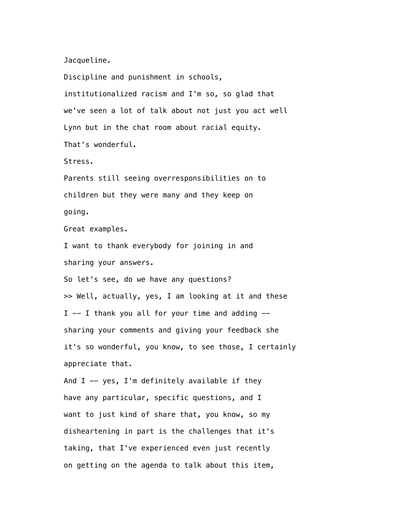Jacqueline.

 Discipline and punishment in schools, institutionalized racism and I'm so, so glad that we've seen a lot of talk about not just you act well Lynn but in the chat room about racial equity. That's wonderful. Stress. Parents still seeing overresponsibilities on to children but they were many and they keep on going. Great examples. I want to thank everybody for joining in and sharing your answers. So let's see, do we have any questions? >> Well, actually, yes, I am looking at it and these  $I$  -- I thank you all for your time and adding - sharing your comments and giving your feedback she it's so wonderful, you know, to see those, I certainly

appreciate that.

And  $I$  -- yes, I'm definitely available if they have any particular, specific questions, and I want to just kind of share that, you know, so my disheartening in part is the challenges that it's taking, that I've experienced even just recently on getting on the agenda to talk about this item,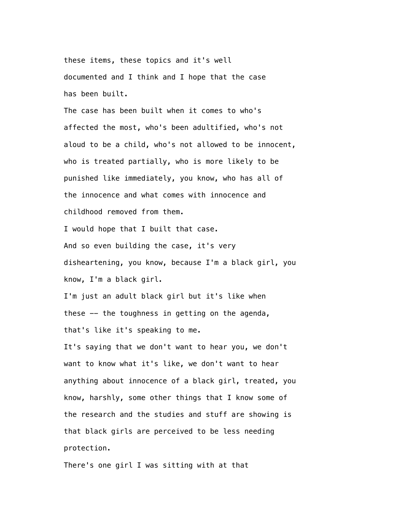these items, these topics and it's well documented and I think and I hope that the case has been built.

 The case has been built when it comes to who's affected the most, who's been adultified, who's not aloud to be a child, who's not allowed to be innocent, who is treated partially, who is more likely to be punished like immediately, you know, who has all of the innocence and what comes with innocence and childhood removed from them.

 I would hope that I built that case. And so even building the case, it's very disheartening, you know, because I'm a black girl, you know, I'm a black girl.

 I'm just an adult black girl but it's like when these -- the toughness in getting on the agenda, that's like it's speaking to me.

 It's saying that we don't want to hear you, we don't want to know what it's like, we don't want to hear anything about innocence of a black girl, treated, you know, harshly, some other things that I know some of the research and the studies and stuff are showing is that black girls are perceived to be less needing protection.

There's one girl I was sitting with at that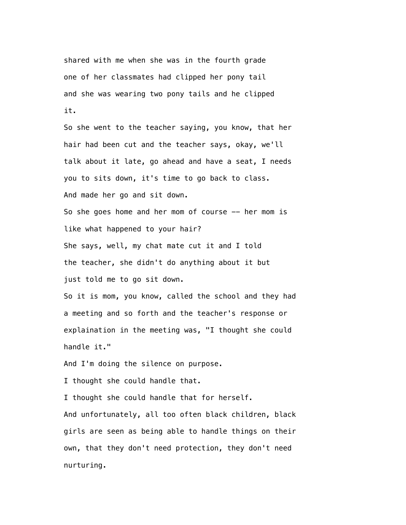shared with me when she was in the fourth grade one of her classmates had clipped her pony tail and she was wearing two pony tails and he clipped it.

 So she went to the teacher saying, you know, that her hair had been cut and the teacher says, okay, we'll talk about it late, go ahead and have a seat, I needs you to sits down, it's time to go back to class. And made her go and sit down. So she goes home and her mom of course  $-$  her mom is like what happened to your hair?

 She says, well, my chat mate cut it and I told the teacher, she didn't do anything about it but just told me to go sit down.

 So it is mom, you know, called the school and they had a meeting and so forth and the teacher's response or explaination in the meeting was, "I thought she could handle it."

And I'm doing the silence on purpose.

I thought she could handle that.

 I thought she could handle that for herself. And unfortunately, all too often black children, black girls are seen as being able to handle things on their own, that they don't need protection, they don't need nurturing.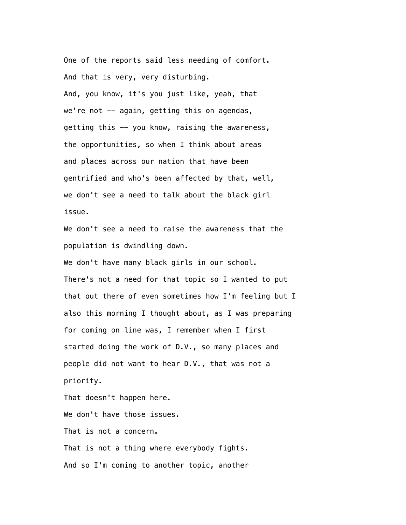One of the reports said less needing of comfort. And that is very, very disturbing. And, you know, it's you just like, yeah, that we're not  $-$  again, getting this on agendas, getting this -- you know, raising the awareness, the opportunities, so when I think about areas and places across our nation that have been gentrified and who's been affected by that, well, we don't see a need to talk about the black girl issue.

 We don't see a need to raise the awareness that the population is dwindling down.

We don't have many black girls in our school. There's not a need for that topic so I wanted to put that out there of even sometimes how I'm feeling but I also this morning I thought about, as I was preparing for coming on line was, I remember when I first started doing the work of D.V., so many places and people did not want to hear D.V., that was not a priority.

That doesn't happen here.

We don't have those issues.

That is not a concern.

 That is not a thing where everybody fights. And so I'm coming to another topic, another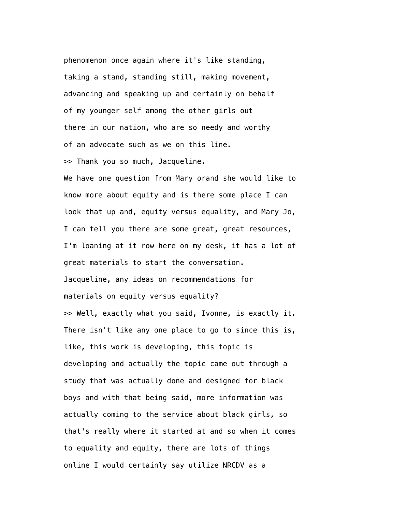phenomenon once again where it's like standing, taking a stand, standing still, making movement, advancing and speaking up and certainly on behalf of my younger self among the other girls out there in our nation, who are so needy and worthy of an advocate such as we on this line. >> Thank you so much, Jacqueline.

 We have one question from Mary orand she would like to know more about equity and is there some place I can look that up and, equity versus equality, and Mary Jo, I can tell you there are some great, great resources, I'm loaning at it row here on my desk, it has a lot of great materials to start the conversation. Jacqueline, any ideas on recommendations for materials on equity versus equality? >> Well, exactly what you said, Ivonne, is exactly it. There isn't like any one place to go to since this is, like, this work is developing, this topic is developing and actually the topic came out through a study that was actually done and designed for black boys and with that being said, more information was actually coming to the service about black girls, so that's really where it started at and so when it comes to equality and equity, there are lots of things online I would certainly say utilize NRCDV as a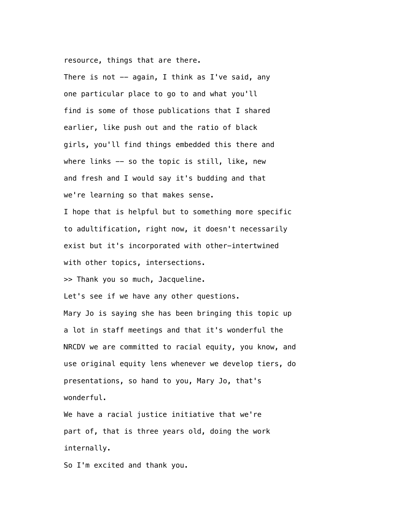resource, things that are there.

There is not  $-$  again, I think as I've said, any one particular place to go to and what you'll find is some of those publications that I shared earlier, like push out and the ratio of black girls, you'll find things embedded this there and where links -- so the topic is still, like, new and fresh and I would say it's budding and that we're learning so that makes sense.

 I hope that is helpful but to something more specific to adultification, right now, it doesn't necessarily exist but it's incorporated with other-intertwined with other topics, intersections.

>> Thank you so much, Jacqueline.

Let's see if we have any other questions.

 Mary Jo is saying she has been bringing this topic up a lot in staff meetings and that it's wonderful the NRCDV we are committed to racial equity, you know, and use original equity lens whenever we develop tiers, do presentations, so hand to you, Mary Jo, that's wonderful.

 We have a racial justice initiative that we're part of, that is three years old, doing the work internally.

So I'm excited and thank you.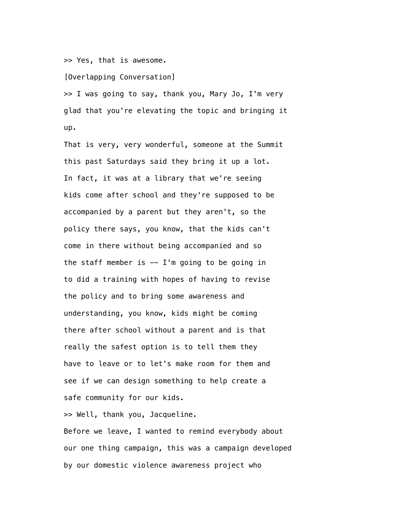>> Yes, that is awesome.

[Overlapping Conversation]

 >> I was going to say, thank you, Mary Jo, I'm very glad that you're elevating the topic and bringing it up.

 That is very, very wonderful, someone at the Summit this past Saturdays said they bring it up a lot. In fact, it was at a library that we're seeing kids come after school and they're supposed to be accompanied by a parent but they aren't, so the policy there says, you know, that the kids can't come in there without being accompanied and so the staff member is  $-$  I'm going to be going in to did a training with hopes of having to revise the policy and to bring some awareness and understanding, you know, kids might be coming there after school without a parent and is that really the safest option is to tell them they have to leave or to let's make room for them and see if we can design something to help create a safe community for our kids.

>> Well, thank you, Jacqueline.

 Before we leave, I wanted to remind everybody about our one thing campaign, this was a campaign developed by our domestic violence awareness project who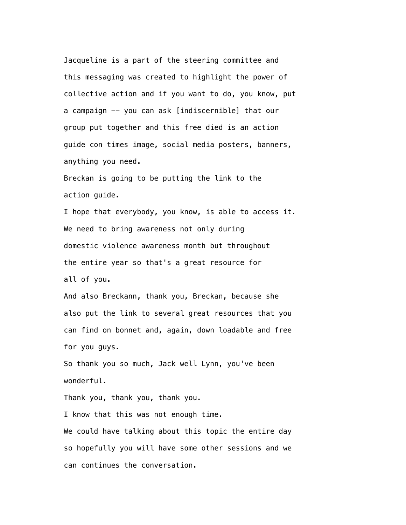Jacqueline is a part of the steering committee and this messaging was created to highlight the power of collective action and if you want to do, you know, put a campaign -- you can ask [indiscernible] that our group put together and this free died is an action guide con times image, social media posters, banners, anything you need.

 Breckan is going to be putting the link to the action guide.

 I hope that everybody, you know, is able to access it. We need to bring awareness not only during domestic violence awareness month but throughout the entire year so that's a great resource for all of you.

 And also Breckann, thank you, Breckan, because she also put the link to several great resources that you can find on bonnet and, again, down loadable and free for you guys.

 So thank you so much, Jack well Lynn, you've been wonderful.

Thank you, thank you, thank you.

 I know that this was not enough time. We could have talking about this topic the entire day so hopefully you will have some other sessions and we can continues the conversation.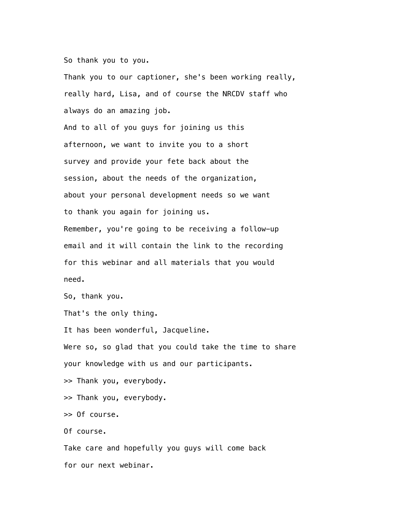So thank you to you.

 Thank you to our captioner, she's been working really, really hard, Lisa, and of course the NRCDV staff who always do an amazing job.

 And to all of you guys for joining us this afternoon, we want to invite you to a short survey and provide your fete back about the session, about the needs of the organization, about your personal development needs so we want to thank you again for joining us. Remember, you're going to be receiving a follow-up email and it will contain the link to the recording for this webinar and all materials that you would need.

So, thank you.

That's the only thing.

It has been wonderful, Jacqueline.

 Were so, so glad that you could take the time to share your knowledge with us and our participants.

>> Thank you, everybody.

>> Thank you, everybody.

>> Of course.

Of course.

 Take care and hopefully you guys will come back for our next webinar.